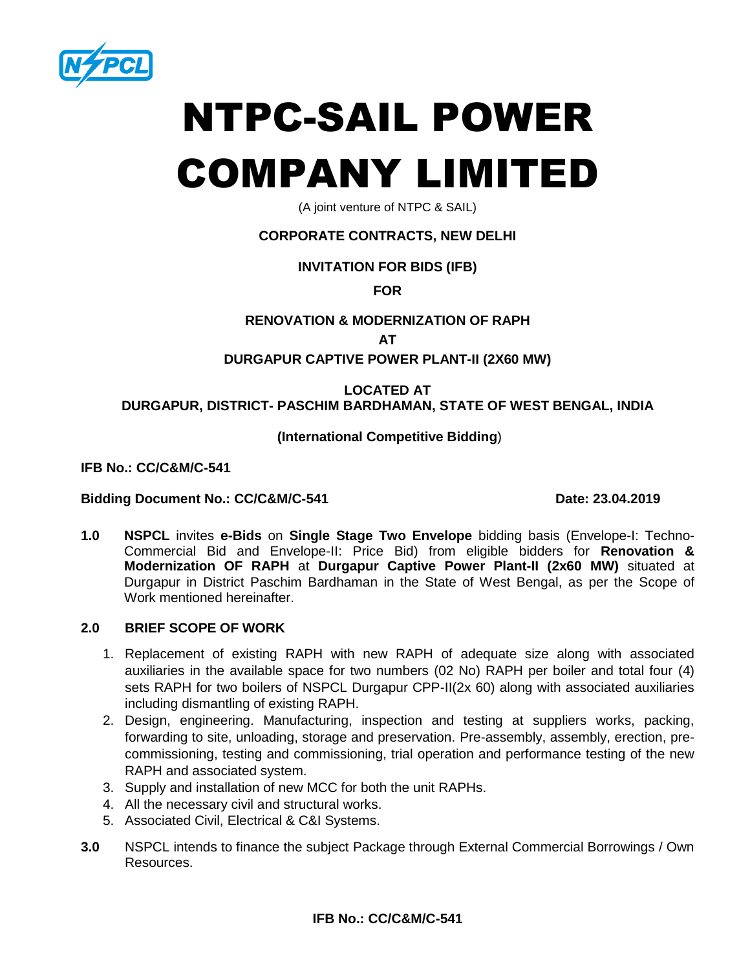

# NTPC-SAIL POWER

## COMPANY LIMITED

(A joint venture of NTPC & SAIL)

### **CORPORATE CONTRACTS, NEW DELHI**

### **INVITATION FOR BIDS (IFB)**

**FOR**

### **RENOVATION & MODERNIZATION OF RAPH**

**AT**

### **DURGAPUR CAPTIVE POWER PLANT-II (2X60 MW)**

### **LOCATED AT**

### **DURGAPUR, DISTRICT- PASCHIM BARDHAMAN, STATE OF WEST BENGAL, INDIA**

### **(International Competitive Bidding**)

**IFB No.: CC/C&M/C-541**

### Bidding Document No.: CC/C&M/C-541 Date: 23.04.2019

**1.0 NSPCL** invites **e-Bids** on **Single Stage Two Envelope** bidding basis (Envelope-I: Techno-Commercial Bid and Envelope-II: Price Bid) from eligible bidders for **Renovation & Modernization OF RAPH** at **Durgapur Captive Power Plant-II (2x60 MW)** situated at Durgapur in District Paschim Bardhaman in the State of West Bengal, as per the Scope of Work mentioned hereinafter.

### **2.0 BRIEF SCOPE OF WORK**

- 1. Replacement of existing RAPH with new RAPH of adequate size along with associated auxiliaries in the available space for two numbers (02 No) RAPH per boiler and total four (4) sets RAPH for two boilers of NSPCL Durgapur CPP-II(2x 60) along with associated auxiliaries including dismantling of existing RAPH.
- 2. Design, engineering. Manufacturing, inspection and testing at suppliers works, packing, forwarding to site, unloading, storage and preservation. Pre-assembly, assembly, erection, precommissioning, testing and commissioning, trial operation and performance testing of the new RAPH and associated system.
- 3. Supply and installation of new MCC for both the unit RAPHs.
- 4. All the necessary civil and structural works.
- 5. Associated Civil, Electrical & C&I Systems.
- **3.0** NSPCL intends to finance the subject Package through External Commercial Borrowings / Own Resources.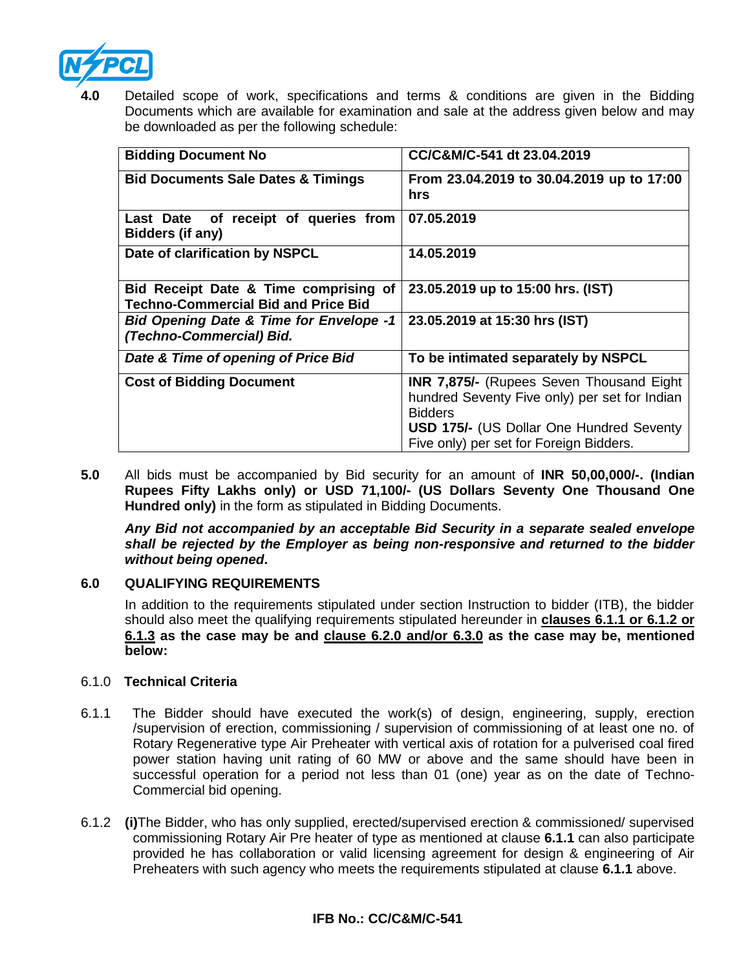

Detailed scope of work, specifications and terms & conditions are given in the Bidding Documents which are available for examination and sale at the address given below and may be downloaded as per the following schedule:

| <b>Bidding Document No</b>                                                          | CC/C&M/C-541 dt 23.04.2019                                                                                                                                                                                        |
|-------------------------------------------------------------------------------------|-------------------------------------------------------------------------------------------------------------------------------------------------------------------------------------------------------------------|
| <b>Bid Documents Sale Dates &amp; Timings</b>                                       | From 23.04.2019 to 30.04.2019 up to 17:00<br>hrs                                                                                                                                                                  |
| Last Date of receipt of queries from<br>Bidders (if any)                            | 07.05.2019                                                                                                                                                                                                        |
| Date of clarification by NSPCL                                                      | 14.05.2019                                                                                                                                                                                                        |
| Bid Receipt Date & Time comprising of<br><b>Techno-Commercial Bid and Price Bid</b> | 23.05.2019 up to 15:00 hrs. (IST)                                                                                                                                                                                 |
| <b>Bid Opening Date &amp; Time for Envelope -1</b><br>(Techno-Commercial) Bid.      | 23.05.2019 at 15:30 hrs (IST)                                                                                                                                                                                     |
| Date & Time of opening of Price Bid                                                 | To be intimated separately by NSPCL                                                                                                                                                                               |
| <b>Cost of Bidding Document</b>                                                     | <b>INR 7,875/-</b> (Rupees Seven Thousand Eight)<br>hundred Seventy Five only) per set for Indian<br><b>Bidders</b><br><b>USD 175/- (US Dollar One Hundred Seventy</b><br>Five only) per set for Foreign Bidders. |

**5.0** All bids must be accompanied by Bid security for an amount of **INR 50,00,000/-. (Indian Rupees Fifty Lakhs only) or USD 71,100/- (US Dollars Seventy One Thousand One Hundred only)** in the form as stipulated in Bidding Documents.

*Any Bid not accompanied by an acceptable Bid Security in a separate sealed envelope shall be rejected by the Employer as being non-responsive and returned to the bidder without being opened***.**

### **6.0 QUALIFYING REQUIREMENTS**

In addition to the requirements stipulated under section Instruction to bidder (ITB), the bidder should also meet the qualifying requirements stipulated hereunder in **clauses 6.1.1 or 6.1.2 or 6.1.3 as the case may be and clause 6.2.0 and/or 6.3.0 as the case may be, mentioned below:**

### 6.1.0 **Technical Criteria**

- 6.1.1 The Bidder should have executed the work(s) of design, engineering, supply, erection /supervision of erection, commissioning / supervision of commissioning of at least one no. of Rotary Regenerative type Air Preheater with vertical axis of rotation for a pulverised coal fired power station having unit rating of 60 MW or above and the same should have been in successful operation for a period not less than 01 (one) year as on the date of Techno-Commercial bid opening.
- 6.1.2 **(i)**The Bidder, who has only supplied, erected/supervised erection & commissioned/ supervised commissioning Rotary Air Pre heater of type as mentioned at clause **6.1.1** can also participate provided he has collaboration or valid licensing agreement for design & engineering of Air Preheaters with such agency who meets the requirements stipulated at clause **6.1.1** above.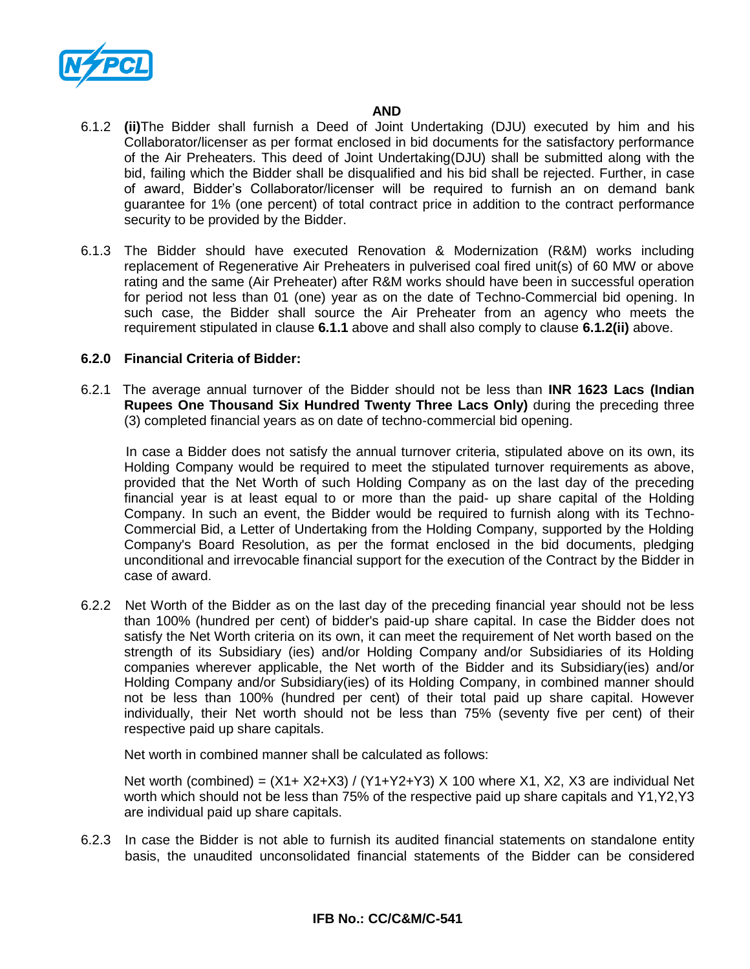

### *AND* **AND**

- 6.1.2 **(ii)**The Bidder shall furnish a Deed of Joint Undertaking (DJU) executed by him and his Collaborator/licenser as per format enclosed in bid documents for the satisfactory performance of the Air Preheaters. This deed of Joint Undertaking(DJU) shall be submitted along with the bid, failing which the Bidder shall be disqualified and his bid shall be rejected. Further, in case of award, Bidder's Collaborator/licenser will be required to furnish an on demand bank guarantee for 1% (one percent) of total contract price in addition to the contract performance security to be provided by the Bidder.
- 6.1.3 The Bidder should have executed Renovation & Modernization (R&M) works including replacement of Regenerative Air Preheaters in pulverised coal fired unit(s) of 60 MW or above rating and the same (Air Preheater) after R&M works should have been in successful operation for period not less than 01 (one) year as on the date of Techno-Commercial bid opening. In such case, the Bidder shall source the Air Preheater from an agency who meets the requirement stipulated in clause **6.1.1** above and shall also comply to clause **6.1.2(ii)** above.

### **6.2.0 Financial Criteria of Bidder:**

6.2.1The average annual turnover of the Bidder should not be less than **INR 1623 Lacs (Indian Rupees One Thousand Six Hundred Twenty Three Lacs Only)** during the preceding three (3) completed financial years as on date of techno-commercial bid opening.

 In case a Bidder does not satisfy the annual turnover criteria, stipulated above on its own, its Holding Company would be required to meet the stipulated turnover requirements as above, provided that the Net Worth of such Holding Company as on the last day of the preceding financial year is at least equal to or more than the paid- up share capital of the Holding Company. In such an event, the Bidder would be required to furnish along with its Techno-Commercial Bid, a Letter of Undertaking from the Holding Company, supported by the Holding Company's Board Resolution, as per the format enclosed in the bid documents, pledging unconditional and irrevocable financial support for the execution of the Contract by the Bidder in case of award.

6.2.2 Net Worth of the Bidder as on the last day of the preceding financial year should not be less than 100% (hundred per cent) of bidder's paid-up share capital. In case the Bidder does not satisfy the Net Worth criteria on its own, it can meet the requirement of Net worth based on the strength of its Subsidiary (ies) and/or Holding Company and/or Subsidiaries of its Holding companies wherever applicable, the Net worth of the Bidder and its Subsidiary(ies) and/or Holding Company and/or Subsidiary(ies) of its Holding Company, in combined manner should not be less than 100% (hundred per cent) of their total paid up share capital. However individually, their Net worth should not be less than 75% (seventy five per cent) of their respective paid up share capitals.

Net worth in combined manner shall be calculated as follows:

Net worth (combined) =  $(X1+ X2+X3) / (Y1+Y2+Y3) X 100$  where X1, X2, X3 are individual Net worth which should not be less than 75% of the respective paid up share capitals and Y1,Y2,Y3 are individual paid up share capitals.

6.2.3 In case the Bidder is not able to furnish its audited financial statements on standalone entity basis, the unaudited unconsolidated financial statements of the Bidder can be considered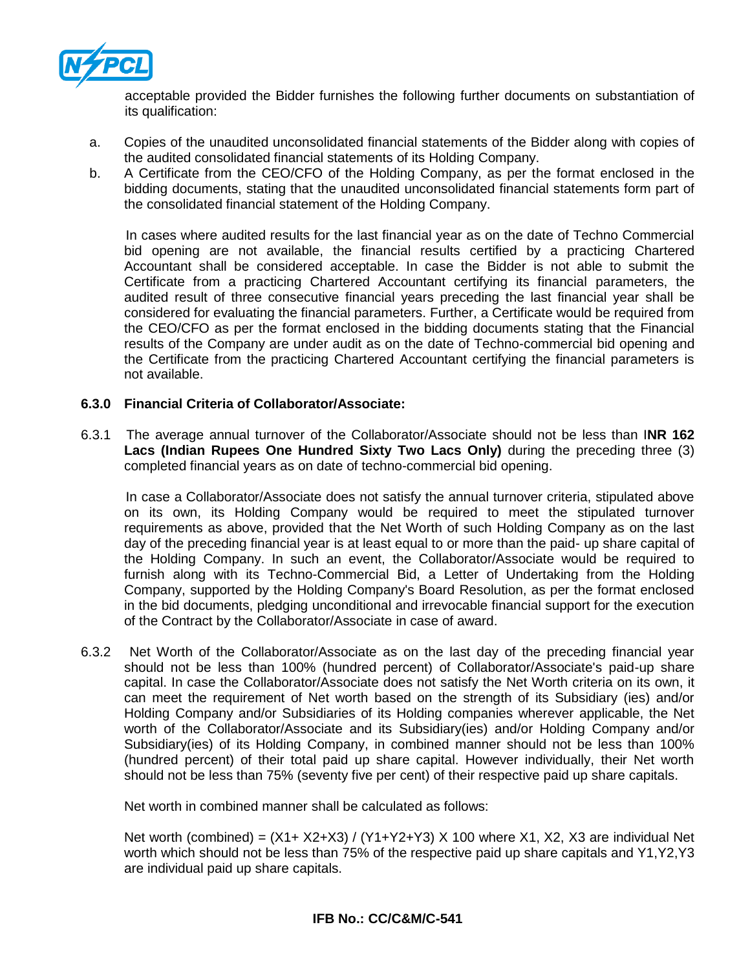

acceptable provided the Bidder furnishes the following further documents on substantiation of its qualification:

- a. Copies of the unaudited unconsolidated financial statements of the Bidder along with copies of the audited consolidated financial statements of its Holding Company.
- b. A Certificate from the CEO/CFO of the Holding Company, as per the format enclosed in the bidding documents, stating that the unaudited unconsolidated financial statements form part of the consolidated financial statement of the Holding Company.

 In cases where audited results for the last financial year as on the date of Techno Commercial bid opening are not available, the financial results certified by a practicing Chartered Accountant shall be considered acceptable. In case the Bidder is not able to submit the Certificate from a practicing Chartered Accountant certifying its financial parameters, the audited result of three consecutive financial years preceding the last financial year shall be considered for evaluating the financial parameters. Further, a Certificate would be required from the CEO/CFO as per the format enclosed in the bidding documents stating that the Financial results of the Company are under audit as on the date of Techno-commercial bid opening and the Certificate from the practicing Chartered Accountant certifying the financial parameters is not available.

### **6.3.0 Financial Criteria of Collaborator/Associate:**

6.3.1 The average annual turnover of the Collaborator/Associate should not be less than I**NR 162 Lacs (Indian Rupees One Hundred Sixty Two Lacs Only)** during the preceding three (3) completed financial years as on date of techno-commercial bid opening.

 In case a Collaborator/Associate does not satisfy the annual turnover criteria, stipulated above on its own, its Holding Company would be required to meet the stipulated turnover requirements as above, provided that the Net Worth of such Holding Company as on the last day of the preceding financial year is at least equal to or more than the paid- up share capital of the Holding Company. In such an event, the Collaborator/Associate would be required to furnish along with its Techno-Commercial Bid, a Letter of Undertaking from the Holding Company, supported by the Holding Company's Board Resolution, as per the format enclosed in the bid documents, pledging unconditional and irrevocable financial support for the execution of the Contract by the Collaborator/Associate in case of award.

6.3.2 Net Worth of the Collaborator/Associate as on the last day of the preceding financial year should not be less than 100% (hundred percent) of Collaborator/Associate's paid-up share capital. In case the Collaborator/Associate does not satisfy the Net Worth criteria on its own, it can meet the requirement of Net worth based on the strength of its Subsidiary (ies) and/or Holding Company and/or Subsidiaries of its Holding companies wherever applicable, the Net worth of the Collaborator/Associate and its Subsidiary(ies) and/or Holding Company and/or Subsidiary(ies) of its Holding Company, in combined manner should not be less than 100% (hundred percent) of their total paid up share capital. However individually, their Net worth should not be less than 75% (seventy five per cent) of their respective paid up share capitals.

Net worth in combined manner shall be calculated as follows:

Net worth (combined) = (X1+ X2+X3) / (Y1+Y2+Y3) X 100 where X1, X2, X3 are individual Net worth which should not be less than 75% of the respective paid up share capitals and Y1,Y2,Y3 are individual paid up share capitals.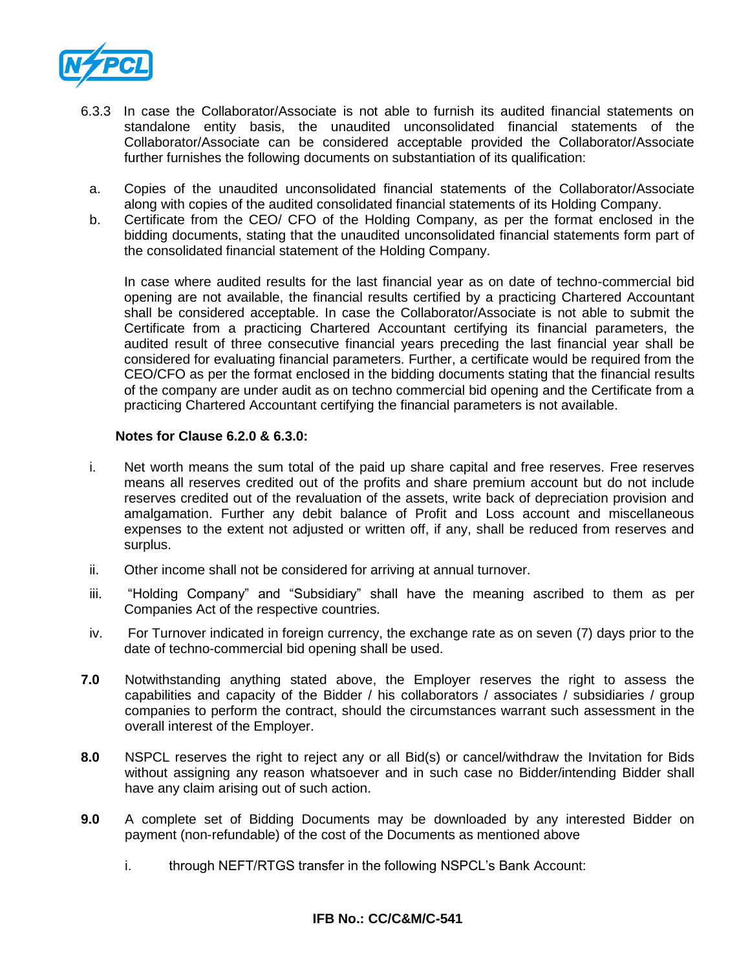

- 6.3.3 In case the Collaborator/Associate is not able to furnish its audited financial statements on standalone entity basis, the unaudited unconsolidated financial statements of the Collaborator/Associate can be considered acceptable provided the Collaborator/Associate further furnishes the following documents on substantiation of its qualification:
- a. Copies of the unaudited unconsolidated financial statements of the Collaborator/Associate along with copies of the audited consolidated financial statements of its Holding Company.
- b. Certificate from the CEO/ CFO of the Holding Company, as per the format enclosed in the bidding documents, stating that the unaudited unconsolidated financial statements form part of the consolidated financial statement of the Holding Company.

In case where audited results for the last financial year as on date of techno-commercial bid opening are not available, the financial results certified by a practicing Chartered Accountant shall be considered acceptable. In case the Collaborator/Associate is not able to submit the Certificate from a practicing Chartered Accountant certifying its financial parameters, the audited result of three consecutive financial years preceding the last financial year shall be considered for evaluating financial parameters. Further, a certificate would be required from the CEO/CFO as per the format enclosed in the bidding documents stating that the financial results of the company are under audit as on techno commercial bid opening and the Certificate from a practicing Chartered Accountant certifying the financial parameters is not available.

### **Notes for Clause 6.2.0 & 6.3.0:**

- i. Net worth means the sum total of the paid up share capital and free reserves. Free reserves means all reserves credited out of the profits and share premium account but do not include reserves credited out of the revaluation of the assets, write back of depreciation provision and amalgamation. Further any debit balance of Profit and Loss account and miscellaneous expenses to the extent not adjusted or written off, if any, shall be reduced from reserves and surplus.
- ii. Other income shall not be considered for arriving at annual turnover.
- iii. "Holding Company" and "Subsidiary" shall have the meaning ascribed to them as per Companies Act of the respective countries.
- iv. For Turnover indicated in foreign currency, the exchange rate as on seven (7) days prior to the date of techno-commercial bid opening shall be used.
- **7.0** Notwithstanding anything stated above, the Employer reserves the right to assess the capabilities and capacity of the Bidder / his collaborators / associates / subsidiaries / group companies to perform the contract, should the circumstances warrant such assessment in the overall interest of the Employer.
- **8.0** NSPCL reserves the right to reject any or all Bid(s) or cancel/withdraw the Invitation for Bids without assigning any reason whatsoever and in such case no Bidder/intending Bidder shall have any claim arising out of such action.
- **9.0** A complete set of Bidding Documents may be downloaded by any interested Bidder on payment (non-refundable) of the cost of the Documents as mentioned above
	- i. through NEFT/RTGS transfer in the following NSPCL's Bank Account: